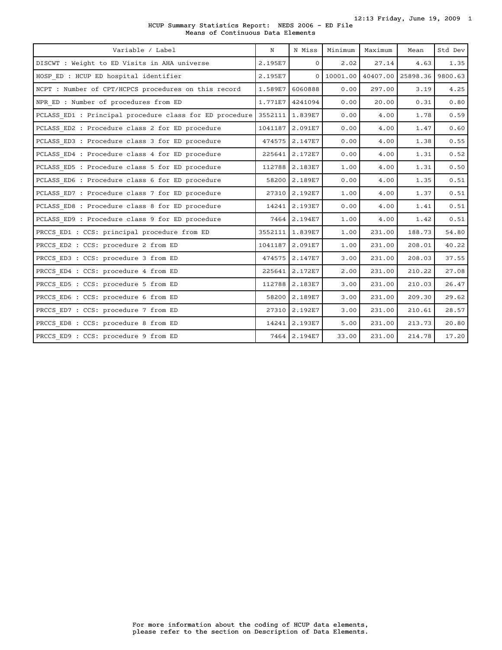| HCUP Summary Statistics Report: NEDS 2006 - ED File |                                   |  |  |  |  |
|-----------------------------------------------------|-----------------------------------|--|--|--|--|
|                                                     | Means of Continuous Data Elements |  |  |  |  |

| Variable / Label                                        | N       | N Miss       | Minimum  | Maximum  | Mean     | Std Dev |
|---------------------------------------------------------|---------|--------------|----------|----------|----------|---------|
| DISCWT : Weight to ED Visits in AHA universe            | 2.195E7 | 0            | 2.02     | 27.14    | 4.63     | 1.35    |
| HOSP ED : HCUP ED hospital identifier                   | 2.195E7 | $\mathbf{0}$ | 10001.00 | 40407.00 | 25898.36 | 9800.63 |
| NCPT : Number of CPT/HCPCS procedures on this record    | 1.589E7 | 6060888      | 0.00     | 297.00   | 3.19     | 4.25    |
| NPR ED : Number of procedures from ED                   | 1.771E7 | 4241094      | 0.00     | 20.00    | 0.31     | 0.80    |
| PCLASS_ED1 : Principal procedure class for ED procedure | 3552111 | 1.839E7      | 0.00     | 4.00     | 1.78     | 0.59    |
| PCLASS ED2 : Procedure class 2 for ED procedure         | 1041187 | 2.091E7      | 0.00     | 4.00     | 1.47     | 0.60    |
| PCLASS ED3 : Procedure class 3 for ED procedure         | 474575  | 2.147E7      | 0.00     | 4.00     | 1.38     | 0.55    |
| PCLASS ED4 : Procedure class 4 for ED procedure         | 225641  | 2.172E7      | 0.00     | 4.00     | 1.31     | 0.52    |
| PCLASS_ED5 : Procedure class 5 for ED procedure         | 112788  | 2.183E7      | 1.00     | 4.00     | 1.31     | 0.50    |
| PCLASS ED6 : Procedure class 6 for ED procedure         | 58200   | 2.189E7      | 0.00     | 4.00     | 1.35     | 0.51    |
| PCLASS ED7 : Procedure class 7 for ED procedure         | 27310   | 2.192E7      | 1.00     | 4.00     | 1.37     | 0.51    |
| PCLASS ED8 : Procedure class 8 for ED procedure         | 14241   | 2.193E7      | 0.00     | 4.00     | 1.41     | 0.51    |
| PCLASS ED9 : Procedure class 9 for ED procedure         | 7464    | 2.194E7      | 1.00     | 4.00     | 1.42     | 0.51    |
| PRCCS ED1 : CCS: principal procedure from ED            | 3552111 | 1.839E7      | 1.00     | 231.00   | 188.73   | 54.80   |
| PRCCS ED2 : CCS: procedure 2 from ED                    | 1041187 | 2.091E7      | 1.00     | 231.00   | 208.01   | 40.22   |
| PRCCS ED3 : CCS: procedure 3 from ED                    | 474575  | 2.147E7      | 3.00     | 231.00   | 208.03   | 37.55   |
| PRCCS ED4 : CCS: procedure 4 from ED                    | 225641  | 2.172E7      | 2.00     | 231.00   | 210.22   | 27.08   |
| PRCCS ED5 : CCS: procedure 5 from ED                    | 112788  | 2.183E7      | 3.00     | 231.00   | 210.03   | 26.47   |
| PRCCS ED6 : CCS: procedure 6 from ED                    | 58200   | 2.189E7      | 3.00     | 231.00   | 209.30   | 29.62   |
| PRCCS ED7 : CCS: procedure 7 from ED                    | 27310   | 2.192E7      | 3.00     | 231.00   | 210.61   | 28.57   |
| PRCCS ED8 : CCS: procedure 8 from ED                    | 14241   | 2.193E7      | 5.00     | 231.00   | 213.73   | 20.80   |
| PRCCS ED9 : CCS: procedure 9 from ED                    |         | 7464 2.194E7 | 33.00    | 231.00   | 214.78   | 17.20   |
|                                                         |         |              |          |          |          |         |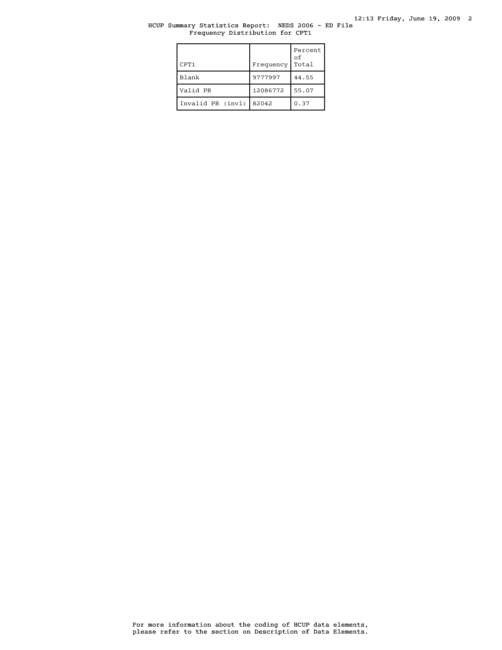# HCUP Summary Statistics Report: NEDS 2006 - ED File Frequency Distribution for CPT1

| CPT <sub>1</sub>  | Frequency | Percent<br>оf<br>Total |
|-------------------|-----------|------------------------|
| Blank             | 9777997   | 44.55                  |
| Valid PR          | 12086772  | 55.07                  |
| Invalid PR (invl) | 82042     | 0.37                   |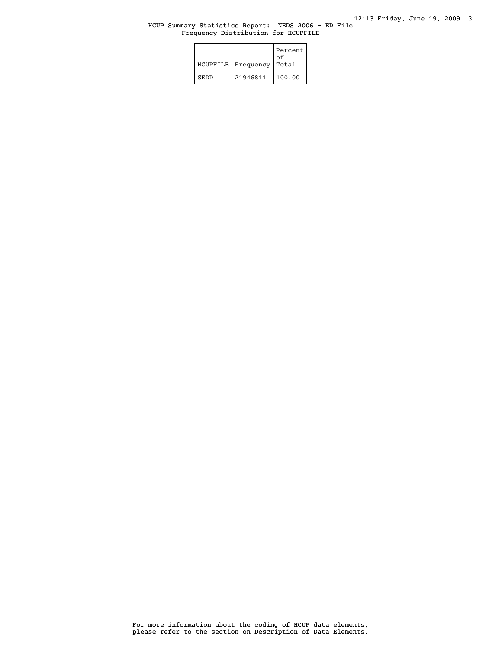# HCUP Summary Statistics Report: NEDS 2006 - ED File Frequency Distribution for HCUPFILE

| <b>HCUPFILE</b> | Frequency | Percent<br>οf<br>Total |
|-----------------|-----------|------------------------|
| <b>SEDD</b>     | 21946811  | 100.00                 |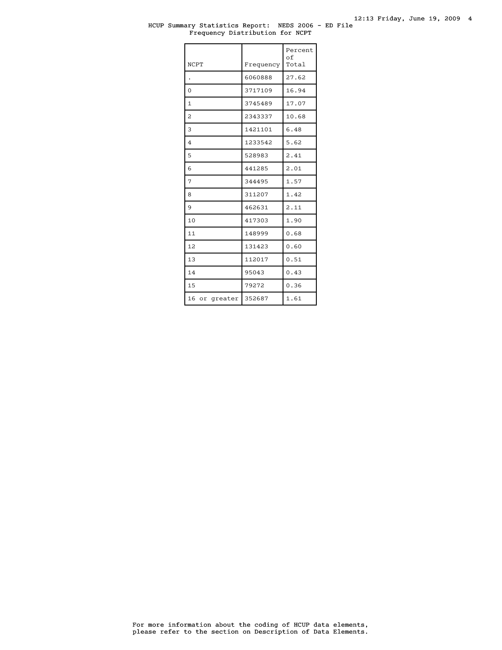### HCUP Summary Statistics Report: NEDS 2006 - ED File Frequency Distribution for NCPT

| <b>NCPT</b>    | Frequency | Percent<br>of<br>Total |
|----------------|-----------|------------------------|
|                | 6060888   | 27.62                  |
| $\Omega$       | 3717109   | 16.94                  |
| 1              | 3745489   | 17.07                  |
| $\overline{a}$ | 2343337   | 10.68                  |
| 3              | 1421101   | 6.48                   |
| $\overline{4}$ | 1233542   | 5.62                   |
| 5              | 528983    | 2.41                   |
| 6              | 441285    | 2.01                   |
| 7              | 344495    | 1.57                   |
| 8              | 311207    | 1.42                   |
| 9              | 462631    | 2.11                   |
| 10             | 417303    | 1.90                   |
| 11             | 148999    | 0.68                   |
| 12.            | 131423    | 0.60                   |
| 13             | 112017    | 0.51                   |
| 14             | 95043     | 0.43                   |
| 15             | 79272     | 0.36                   |
| 16 or greater  | 352687    | 1.61                   |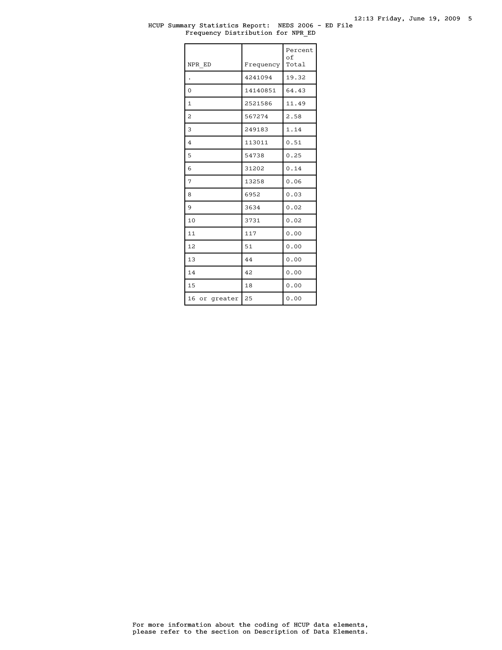### HCUP Summary Statistics Report: NEDS 2006 - ED File Frequency Distribution for NPR\_ED

| NPR ED           | Frequency | Percent<br>оf<br>Total |
|------------------|-----------|------------------------|
|                  | 4241094   | 19.32                  |
| $\Omega$         | 14140851  | 64.43                  |
| 1                | 2521586   | 11.49                  |
| 2                | 567274    | 2.58                   |
| 3                | 249183    | 1.14                   |
| $\overline{4}$   | 113011    | 0.51                   |
| 5                | 54738     | 0.25                   |
| 6                | 31202     | 0.14                   |
| 7                | 13258     | 0.06                   |
| 8                | 6952      | 0.03                   |
| 9                | 3634      | 0.02                   |
| 10               | 3731      | 0.02                   |
| 11               | 117       | 0.00                   |
| 12               | 51        | 0.00                   |
| 13               | 44        | 0.00                   |
| 14               | 42        | 0.00                   |
| 15               | 18        | 0.00                   |
| 16<br>or greater | 25        | 0.00                   |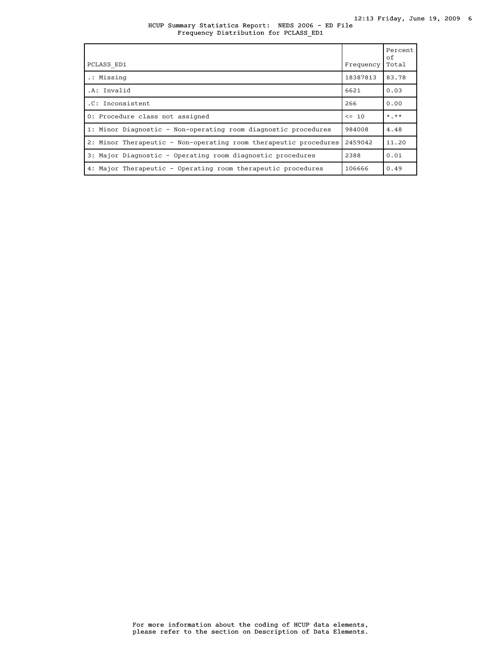### HCUP Summary Statistics Report: NEDS 2006 - ED File Frequency Distribution for PCLASS\_ED1

| PCLASS ED1                                                       | Frequency | Percent<br>of<br>Total |
|------------------------------------------------------------------|-----------|------------------------|
| .: Missing                                                       | 18387813  | 83.78                  |
| .A: Invalid                                                      | 6621      | 0.03                   |
| .C: Inconsistent                                                 | 266       | 0.00                   |
| 0: Procedure class not assigned                                  | $\leq$ 10 | $*$ , $**$             |
| 1: Minor Diagnostic - Non-operating room diagnostic procedures   | 984008    | 4.48                   |
| 2: Minor Therapeutic - Non-operating room therapeutic procedures | 2459042   | 11.20                  |
| 3: Major Diagnostic - Operating room diagnostic procedures       | 2388      | 0.01                   |
| 4: Major Therapeutic - Operating room therapeutic procedures     | 106666    | 0.49                   |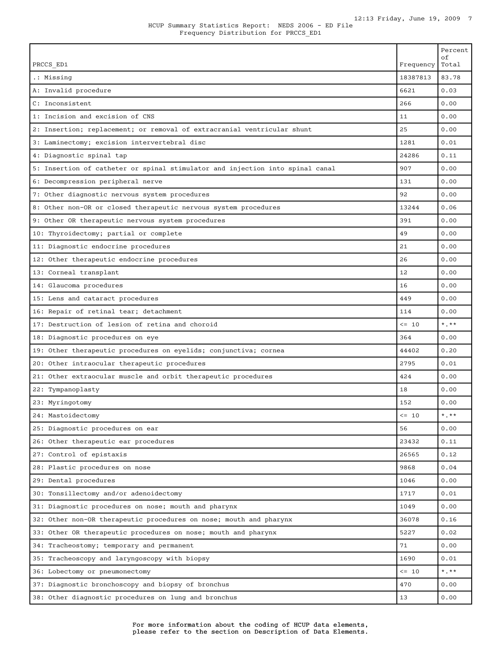|                                                                               |            | Percent<br>оf |
|-------------------------------------------------------------------------------|------------|---------------|
| PRCCS ED1                                                                     | Frequency  | Total         |
| .: Missing                                                                    | 18387813   | 83.78         |
| A: Invalid procedure                                                          | 6621       | 0.03          |
| C: Inconsistent                                                               | 266        | 0.00          |
| 1: Incision and excision of CNS                                               | 11         | 0.00          |
| 2: Insertion; replacement; or removal of extracranial ventricular shunt       | 25         | 0.00          |
| 3: Laminectomy; excision intervertebral disc                                  | 1281       | 0.01          |
| 4: Diagnostic spinal tap                                                      | 24286      | 0.11          |
| 5: Insertion of catheter or spinal stimulator and injection into spinal canal | 907        | 0.00          |
| 6: Decompression peripheral nerve                                             | 131        | 0.00          |
| 7: Other diagnostic nervous system procedures                                 | 92         | 0.00          |
| 8: Other non-OR or closed therapeutic nervous system procedures               | 13244      | 0.06          |
| 9: Other OR therapeutic nervous system procedures                             | 391        | 0.00          |
| 10: Thyroidectomy; partial or complete                                        | 49         | 0.00          |
| 11: Diagnostic endocrine procedures                                           | 21         | 0.00          |
| 12: Other therapeutic endocrine procedures                                    | 26         | 0.00          |
| 13: Corneal transplant                                                        | 12         | 0.00          |
| 14: Glaucoma procedures                                                       | 16         | 0.00          |
| 15: Lens and cataract procedures                                              | 449        | 0.00          |
| 16: Repair of retinal tear; detachment                                        | 114        | 0.00          |
| 17: Destruction of lesion of retina and choroid                               | $\leq$ 10  | $*$ $*$       |
| 18: Diagnostic procedures on eye                                              | 364        | 0.00          |
| 19: Other therapeutic procedures on eyelids; conjunctiva; cornea              | 44402      | 0.20          |
| 20: Other intraocular therapeutic procedures                                  | 2795       | 0.01          |
| 21: Other extraocular muscle and orbit therapeutic procedures                 | 424        | 0.00          |
| 22: Tympanoplasty                                                             | 18         | 0.00          |
| 23: Myringotomy                                                               | 152        | 0.00          |
| 24: Mastoidectomy                                                             | $\leq -10$ | ***           |
| 25: Diagnostic procedures on ear                                              | 56         | 0.00          |
| 26: Other therapeutic ear procedures                                          | 23432      | 0.11          |
| 27: Control of epistaxis                                                      | 26565      | 0.12          |
| 28: Plastic procedures on nose                                                | 9868       | 0.04          |
| 29: Dental procedures                                                         | 1046       | 0.00          |
| 30: Tonsillectomy and/or adenoidectomy                                        | 1717       | 0.01          |
| 31: Diagnostic procedures on nose; mouth and pharynx                          | 1049       | 0.00          |
| 32: Other non-OR therapeutic procedures on nose; mouth and pharynx            | 36078      | 0.16          |
| 33: Other OR therapeutic procedures on nose; mouth and pharynx                | 5227       | 0.02          |
| 34: Tracheostomy; temporary and permanent                                     | 71         | 0.00          |
| 35: Tracheoscopy and laryngoscopy with biopsy                                 | 1690       | 0.01          |
| 36: Lobectomy or pneumonectomy                                                | $\leq -10$ | $*$ , $**$    |
| 37: Diagnostic bronchoscopy and biopsy of bronchus                            | 470        | 0.00          |
| 38: Other diagnostic procedures on lung and bronchus                          | 13         | 0.00          |
|                                                                               |            |               |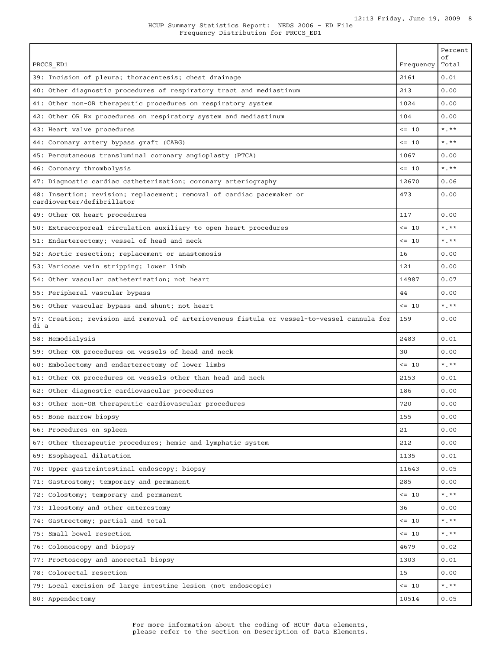| PRCCS ED1                                                                                           | Frequency  | Percent<br>οf<br>Total |
|-----------------------------------------------------------------------------------------------------|------------|------------------------|
| 39: Incision of pleura; thoracentesis; chest drainage                                               | 2161       | 0.01                   |
| 40: Other diagnostic procedures of respiratory tract and mediastinum                                | 213        | 0.00                   |
| 41: Other non-OR therapeutic procedures on respiratory system                                       | 1024       | 0.00                   |
| 42: Other OR Rx procedures on respiratory system and mediastinum                                    | 104        | 0.00                   |
| 43: Heart valve procedures                                                                          | $\leq -10$ | $*$ , $**$             |
| 44: Coronary artery bypass graft (CABG)                                                             | $\leq$ 10  | $*$ , $**$             |
| 45: Percutaneous transluminal coronary angioplasty (PTCA)                                           | 1067       | 0.00                   |
| 46: Coronary thrombolysis                                                                           | $\leq$ 10  | $*$ , $*$              |
| 47: Diagnostic cardiac catheterization; coronary arteriography                                      | 12670      | 0.06                   |
| 48: Insertion; revision; replacement; removal of cardiac pacemaker or<br>cardioverter/defibrillator | 473        | 0.00                   |
| 49: Other OR heart procedures                                                                       | 117        | 0.00                   |
| 50: Extracorporeal circulation auxiliary to open heart procedures                                   | $\leq$ 10  | $*$ , $*$              |
| 51: Endarterectomy; vessel of head and neck                                                         | $\leq -10$ | $*$ .**                |
| 52: Aortic resection; replacement or anastomosis                                                    | 16         | 0.00                   |
| 53: Varicose vein stripping; lower limb                                                             | 121        | 0.00                   |
| 54: Other vascular catheterization; not heart                                                       | 14987      | 0.07                   |
| 55: Peripheral vascular bypass                                                                      | 44         | 0.00                   |
| 56: Other vascular bypass and shunt; not heart                                                      | $\leq$ 10  | $*$ . $**$             |
| 57: Creation; revision and removal of arteriovenous fistula or vessel-to-vessel cannula for<br>di a | 159        | 0.00                   |
| 58: Hemodialysis                                                                                    | 2483       | 0.01                   |
| 59: Other OR procedures on vessels of head and neck                                                 | 30         | 0.00                   |
| 60: Embolectomy and endarterectomy of lower limbs                                                   | $\leq$ 10  | $*$ . $**$             |
| 61: Other OR procedures on vessels other than head and neck                                         | 2153       | 0.01                   |
| 62: Other diagnostic cardiovascular procedures                                                      | 186        | 0.00                   |
| 63: Other non-OR therapeutic cardiovascular procedures                                              | 720        | 0.00                   |
| 65: Bone marrow biopsy                                                                              | 155        | 0.00                   |
| 66: Procedures on spleen                                                                            | 21         | 0.00                   |
| 67: Other therapeutic procedures; hemic and lymphatic system                                        | 212        | 0.00                   |
| 69: Esophageal dilatation                                                                           | 1135       | 0.01                   |
| 70: Upper gastrointestinal endoscopy; biopsy                                                        | 11643      | 0.05                   |
| 71: Gastrostomy; temporary and permanent                                                            | 285        | 0.00                   |
| 72: Colostomy; temporary and permanent                                                              | $\leq -10$ | $*$ , $**$             |
| 73: Ileostomy and other enterostomy                                                                 | 36         | 0.00                   |
| 74: Gastrectomy; partial and total                                                                  | $\leq -10$ | $*$ $*$                |
| 75: Small bowel resection                                                                           | $\leq -10$ | $*$ , $**$             |
| 76: Colonoscopy and biopsy                                                                          | 4679       | 0.02                   |
| 77: Proctoscopy and anorectal biopsy                                                                | 1303       | 0.01                   |
| 78: Colorectal resection                                                                            | 15         | 0.00                   |
| 79: Local excision of large intestine lesion (not endoscopic)                                       | $\leq -10$ | $\star$ . $\star\star$ |
| 80: Appendectomy                                                                                    | 10514      | 0.05                   |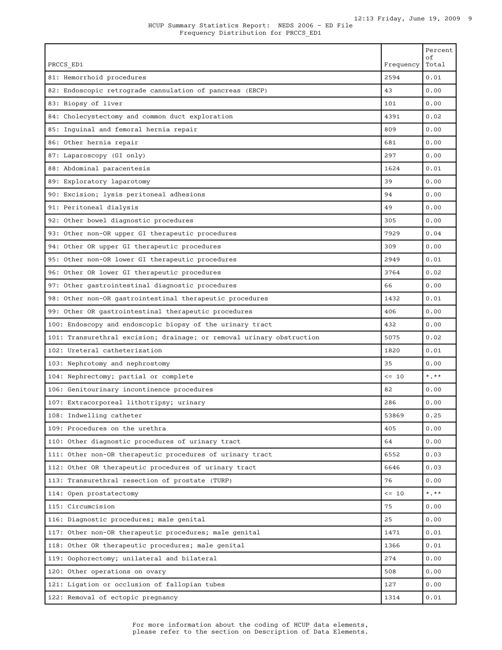| PRCCS ED1                                                             | Frequency  | Percent<br>οf<br>Total    |
|-----------------------------------------------------------------------|------------|---------------------------|
| 81: Hemorrhoid procedures                                             | 2594       | 0.01                      |
| 82: Endoscopic retrograde cannulation of pancreas (ERCP)              | 43         | 0.00                      |
| 83: Biopsy of liver                                                   | 101        | 0.00                      |
| 84: Cholecystectomy and common duct exploration                       | 4391       | 0.02                      |
| 85: Inguinal and femoral hernia repair                                | 809        | 0.00                      |
| 86: Other hernia repair                                               | 681        | 0.00                      |
| 87: Laparoscopy (GI only)                                             | 297        | 0.00                      |
| 88: Abdominal paracentesis                                            | 1624       | 0.01                      |
| 89: Exploratory laparotomy                                            | 39         | 0.00                      |
| 90: Excision; lysis peritoneal adhesions                              | 94         | 0.00                      |
| 91: Peritoneal dialysis                                               | 49         | 0.00                      |
| 92: Other bowel diagnostic procedures                                 | 305        | 0.00                      |
| 93: Other non-OR upper GI therapeutic procedures                      | 7929       | 0.04                      |
| 94: Other OR upper GI therapeutic procedures                          | 309        | 0.00                      |
| 95: Other non-OR lower GI therapeutic procedures                      | 2949       | 0.01                      |
| 96: Other OR lower GI therapeutic procedures                          | 3764       | 0.02                      |
| 97: Other gastrointestinal diagnostic procedures                      | 66         | 0.00                      |
| 98: Other non-OR gastrointestinal therapeutic procedures              | 1432       | 0.01                      |
| 99: Other OR gastrointestinal therapeutic procedures                  | 406        | 0.00                      |
| 100: Endoscopy and endoscopic biopsy of the urinary tract             | 432        | 0.00                      |
| 101: Transurethral excision; drainage; or removal urinary obstruction | 5075       | 0.02                      |
| 102: Ureteral catheterization                                         | 1820       | 0.01                      |
| 103: Nephrotomy and nephrostomy                                       | 35         | 0.00                      |
| 104: Nephrectomy; partial or complete                                 | $\leq -10$ | $\star$ . $\star\star$    |
| 106: Genitourinary incontinence procedures                            | 82         | 0.00                      |
| 107: Extracorporeal lithotripsy; urinary                              | 286        | 0.00                      |
| 108: Indwelling catheter                                              | 53869      | 0.25                      |
| 109: Procedures on the urethra                                        | 405        | 0.00                      |
| 110: Other diagnostic procedures of urinary tract                     | 64         | 0.00                      |
| 111: Other non-OR therapeutic procedures of urinary tract             | 6552       | 0.03                      |
| 112: Other OR therapeutic procedures of urinary tract                 | 6646       | 0.03                      |
| 113: Transurethral resection of prostate (TURP)                       | 76         | 0.00                      |
| 114: Open prostatectomy                                               | $\leq$ 10  | $\star$ . $\star$ $\star$ |
| 115: Circumcision                                                     | 75         | 0.00                      |
| 116: Diagnostic procedures; male genital                              | 25         | 0.00                      |
| 117: Other non-OR therapeutic procedures; male genital                | 1471       | 0.01                      |
| 118: Other OR therapeutic procedures; male genital                    | 1366       | 0.01                      |
| 119: Oophorectomy; unilateral and bilateral                           | 274        | 0.00                      |
| 120: Other operations on ovary                                        | 508        | 0.00                      |
| 121: Ligation or occlusion of fallopian tubes                         | 127        | 0.00                      |
| 122: Removal of ectopic pregnancy                                     | 1314       | 0.01                      |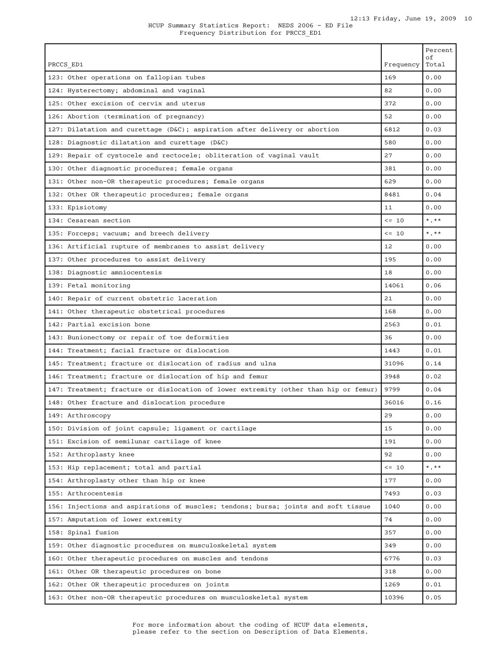| PRCCS ED1                                                                            | Frequency  | Percent<br>οf<br>Total |
|--------------------------------------------------------------------------------------|------------|------------------------|
| 123: Other operations on fallopian tubes                                             | 169        | 0.00                   |
| 124: Hysterectomy; abdominal and vaginal                                             | 82         | 0.00                   |
| 125: Other excision of cervix and uterus                                             | 372        | 0.00                   |
| 126: Abortion (termination of pregnancy)                                             | 52         | 0.00                   |
| 127: Dilatation and curettage (D&C); aspiration after delivery or abortion           | 6812       | 0.03                   |
| 128: Diagnostic dilatation and curettage (D&C)                                       | 580        | 0.00                   |
| 129: Repair of cystocele and rectocele; obliteration of vaginal vault                | 27         | 0.00                   |
| 130: Other diagnostic procedures; female organs                                      | 381        | 0.00                   |
| 131: Other non-OR therapeutic procedures; female organs                              | 629        | 0.00                   |
| 132: Other OR therapeutic procedures; female organs                                  | 8481       | 0.04                   |
| 133: Episiotomy                                                                      | 11         | 0.00                   |
| 134: Cesarean section                                                                | $\leq -10$ | $*$ $**$               |
| 135: Forceps; vacuum; and breech delivery                                            | $\leq$ 10  | $\star$ + $\star$      |
| 136: Artificial rupture of membranes to assist delivery                              | 12         | 0.00                   |
| 137: Other procedures to assist delivery                                             | 195        | 0.00                   |
| 138: Diagnostic amniocentesis                                                        | 18         | 0.00                   |
| 139: Fetal monitoring                                                                | 14061      | 0.06                   |
| 140: Repair of current obstetric laceration                                          | 21         | 0.00                   |
| 141: Other therapeutic obstetrical procedures                                        | 168        | 0.00                   |
| 142: Partial excision bone                                                           | 2563       | 0.01                   |
| 143: Bunionectomy or repair of toe deformities                                       | 36         | 0.00                   |
| 144: Treatment; facial fracture or dislocation                                       | 1443       | 0.01                   |
| 145: Treatment; fracture or dislocation of radius and ulna                           | 31096      | 0.14                   |
| 146: Treatment; fracture or dislocation of hip and femur                             | 3948       | 0.02                   |
| 147: Treatment; fracture or dislocation of lower extremity (other than hip or femur) | 9799       | 0.04                   |
| 148: Other fracture and dislocation procedure                                        | 36016      | 0.16                   |
| 149: Arthroscopy                                                                     | 29         | 0.00                   |
| 150: Division of joint capsule; ligament or cartilage                                | 15         | 0.00                   |
| 151: Excision of semilunar cartilage of knee                                         | 191        | 0.00                   |
| 152: Arthroplasty knee                                                               | 92         | 0.00                   |
| 153: Hip replacement; total and partial                                              | $\leq$ 10  | $*$ $*$                |
| 154: Arthroplasty other than hip or knee                                             | 177        | 0.00                   |
| 155: Arthrocentesis                                                                  | 7493       | 0.03                   |
| 156: Injections and aspirations of muscles; tendons; bursa; joints and soft tissue   | 1040       | 0.00                   |
| 157: Amputation of lower extremity                                                   | 74         | 0.00                   |
| 158: Spinal fusion                                                                   | 357        | 0.00                   |
| 159: Other diagnostic procedures on musculoskeletal system                           | 349        | 0.00                   |
| 160: Other therapeutic procedures on muscles and tendons                             | 6776       | 0.03                   |
| 161: Other OR therapeutic procedures on bone                                         | 318        | 0.00                   |
| 162: Other OR therapeutic procedures on joints                                       | 1269       | 0.01                   |
| 163: Other non-OR therapeutic procedures on musculoskeletal system                   | 10396      | 0.05                   |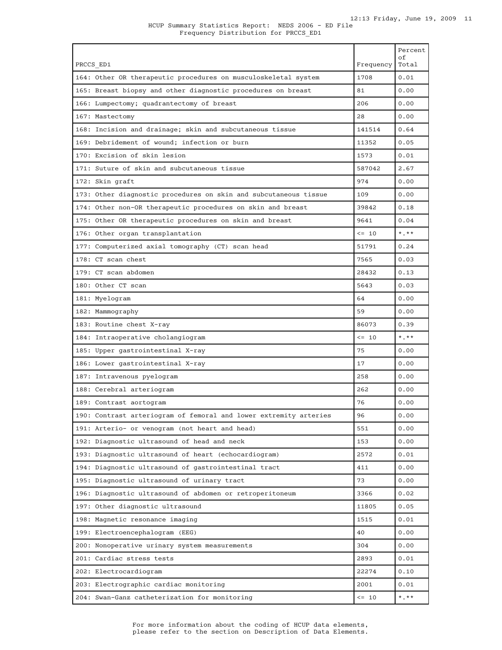| PRCCS ED1                                                         | Frequency  | Percent<br>οf<br>Total |
|-------------------------------------------------------------------|------------|------------------------|
| 164: Other OR therapeutic procedures on musculoskeletal system    | 1708       | 0.01                   |
| 165: Breast biopsy and other diagnostic procedures on breast      | 81         | 0.00                   |
| 166: Lumpectomy; quadrantectomy of breast                         | 206        | 0.00                   |
| 167: Mastectomy                                                   | 28         | 0.00                   |
| 168: Incision and drainage; skin and subcutaneous tissue          | 141514     | 0.64                   |
| 169: Debridement of wound; infection or burn                      | 11352      | 0.05                   |
| 170: Excision of skin lesion                                      | 1573       | 0.01                   |
| 171: Suture of skin and subcutaneous tissue                       | 587042     | 2.67                   |
| 172: Skin graft                                                   | 974        | 0.00                   |
| 173: Other diagnostic procedures on skin and subcutaneous tissue  | 109        | 0.00                   |
| 174: Other non-OR therapeutic procedures on skin and breast       | 39842      | 0.18                   |
| 175: Other OR therapeutic procedures on skin and breast           | 9641       | 0.04                   |
| 176: Other organ transplantation                                  | $\leq -10$ | $*$ , $*$              |
| 177: Computerized axial tomography (CT) scan head                 | 51791      | 0.24                   |
| 178: CT scan chest                                                | 7565       | 0.03                   |
| 179: CT scan abdomen                                              | 28432      | 0.13                   |
| 180: Other CT scan                                                | 5643       | 0.03                   |
| 181: Myelogram                                                    | 64         | 0.00                   |
| 182: Mammography                                                  | 59         | 0.00                   |
| 183: Routine chest X-ray                                          | 86073      | 0.39                   |
| 184: Intraoperative cholangiogram                                 | $\leq -10$ | $\star$ , $\star\star$ |
| 185: Upper gastrointestinal X-ray                                 | 75         | 0.00                   |
| 186: Lower gastrointestinal X-ray                                 | 17         | 0.00                   |
| 187: Intravenous pyelogram                                        | 258        | 0.00                   |
| 188: Cerebral arteriogram                                         | 262        | 0.00                   |
| 189: Contrast aortogram                                           | 76         | 0.00                   |
| 190: Contrast arteriogram of femoral and lower extremity arteries | 96         | 0.00                   |
| 191: Arterio- or venogram (not heart and head)                    | 551        | 0.00                   |
| 192: Diagnostic ultrasound of head and neck                       | 153        | 0.00                   |
| 193: Diagnostic ultrasound of heart (echocardiogram)              | 2572       | 0.01                   |
| 194: Diagnostic ultrasound of gastrointestinal tract              | 411        | 0.00                   |
| 195: Diagnostic ultrasound of urinary tract                       | 73         | 0.00                   |
| 196: Diagnostic ultrasound of abdomen or retroperitoneum          | 3366       | 0.02                   |
| 197: Other diagnostic ultrasound                                  | 11805      | 0.05                   |
| 198: Magnetic resonance imaging                                   | 1515       | 0.01                   |
| 199: Electroencephalogram (EEG)                                   | 40         | 0.00                   |
| 200: Nonoperative urinary system measurements                     | 304        | 0.00                   |
| 201: Cardiac stress tests                                         | 2893       | 0.01                   |
| 202: Electrocardiogram                                            | 22274      | 0.10                   |
| 203: Electrographic cardiac monitoring                            | 2001       | 0.01                   |
| 204: Swan-Ganz catheterization for monitoring                     | $\leq -10$ | $*$ $*$ $*$            |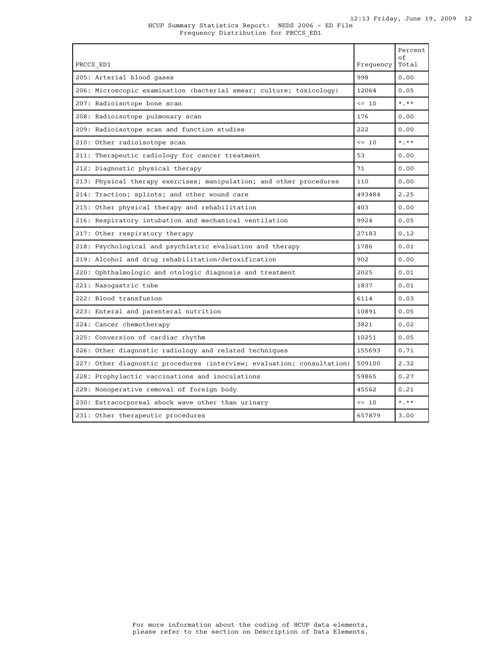### HCUP Summary Statistics Report: NEDS 2006 - ED File Frequency Distribution for PRCCS\_ED1

| PRCCS ED1                                                              | Frequency  | Percent<br>οf<br>Total |
|------------------------------------------------------------------------|------------|------------------------|
| 205: Arterial blood gases                                              | 998        | 0.00                   |
| 206: Microscopic examination (bacterial smear; culture; toxicology)    | 12064      | 0.05                   |
| 207: Radioisotope bone scan                                            | $\leq$ 10  | $*$ $*$                |
| 208: Radioisotope pulmonary scan                                       | 176        | 0.00                   |
| 209: Radioisotope scan and function studies                            | 222        | 0.00                   |
| 210: Other radioisotope scan                                           | $\leq 10$  | $*$ , $*$              |
| 211: Therapeutic radiology for cancer treatment                        | 53         | 0.00                   |
| 212: Diagnostic physical therapy                                       | 71         | 0.00                   |
| 213: Physical therapy exercises; manipulation; and other procedures    | 110        | 0.00                   |
| 214: Traction; splints; and other wound care                           | 493484     | 2.25                   |
| 215: Other physical therapy and rehabilitation                         | 403        | 0.00                   |
| 216: Respiratory intubation and mechanical ventilation                 | 9924       | 0.05                   |
| 217: Other respiratory therapy                                         | 27183      | 0.12                   |
| 218: Psychological and psychiatric evaluation and therapy              | 1786       | 0.01                   |
| 219: Alcohol and drug rehabilitation/detoxification                    | 902        | 0.00                   |
| 220: Ophthalmologic and otologic diagnosis and treatment               | 2025       | 0.01                   |
| 221: Nasogastric tube                                                  | 1837       | 0.01                   |
| 222: Blood transfusion                                                 | 6114       | 0.03                   |
| 223: Enteral and parenteral nutrition                                  | 10891      | 0.05                   |
| 224: Cancer chemotherapy                                               | 3821       | 0.02                   |
| 225: Conversion of cardiac rhythm                                      | 10251      | 0.05                   |
| 226: Other diagnostic radiology and related techniques                 | 155693     | 0.71                   |
| 227: Other diagnostic procedures (interview; evaluation; consultation) | 509100     | 2.32                   |
| 228: Prophylactic vaccinations and inoculations                        | 59865      | 0.27                   |
| 229: Nonoperative removal of foreign body                              | 45562      | 0.21                   |
| 230: Extracorporeal shock wave other than urinary                      | $\leq -10$ | $\star$ . $\star\star$ |
| 231: Other therapeutic procedures                                      | 657879     | 3.00                   |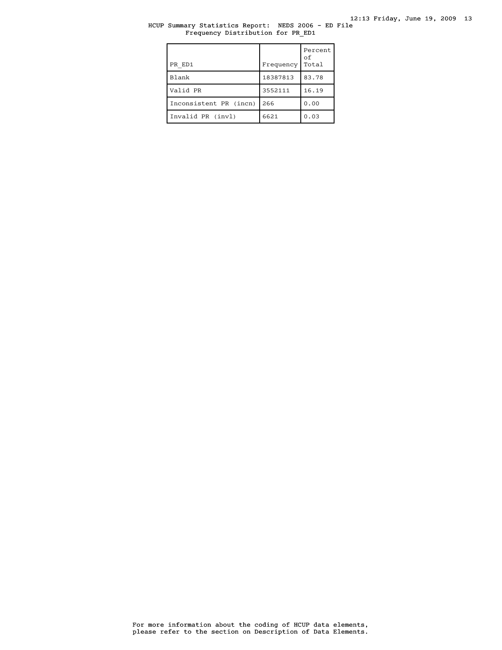# HCUP Summary Statistics Report: NEDS 2006 - ED File Frequency Distribution for PR\_ED1

| PR ED1                 | Frequency | Percent<br>οf<br>Total |
|------------------------|-----------|------------------------|
| Blank                  | 18387813  | 83.78                  |
| Valid PR               | 3552111   | 16.19                  |
| Inconsistent PR (incn) | 266       | 0.00                   |
| Invalid PR (invl)      | 6621      | 0.03                   |